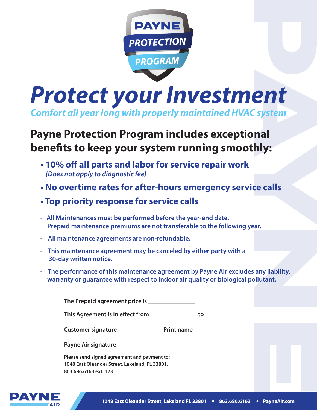

*Protect your Investment Comfort all year long with properly maintained HVAC system* 

## **Payne Protection Program includes exceptional benets to keep your system running smoothly:**

- **10% off all parts and labor for service repair work**  *(Does not apply to diagnostic fee)*
- **No overtime rates for after-hours emergency service calls**
- **Top priority response for service calls**
- **All Maintenances must be performed before the year-end date. Prepaid maintenance premiums are not transferable to the following year.**
- **All maintenance agreements are non-refundable.**
- **This maintenance agreement may be canceled by either party with a 30-day written notice.**
- **The performance of this maintenance agreement by Payne Air excludes any liability, warranty or guarantee with respect to indoor air quality or biological pollutant.**

**The Prepaid agreement price is \_\_\_\_\_\_\_\_\_\_\_\_\_\_\_**

This Agreement is in effect from **wave and the set of the set of the set of the set of the set of the set of the set of the set of the set of the set of the set of the set of the set of the set of the set of the set of the** 

**Customer signature\_\_\_\_\_\_\_\_\_\_\_\_\_\_\_Print name\_\_\_\_\_\_\_\_\_\_\_\_\_\_\_**

**Payne Air signature\_\_\_\_\_\_\_\_\_\_\_\_\_\_\_**

**Please send signed agreement and payment to: 1048 East Oleander Street, Lakeland, FL 33801. 863.686.6163 ext. 123**